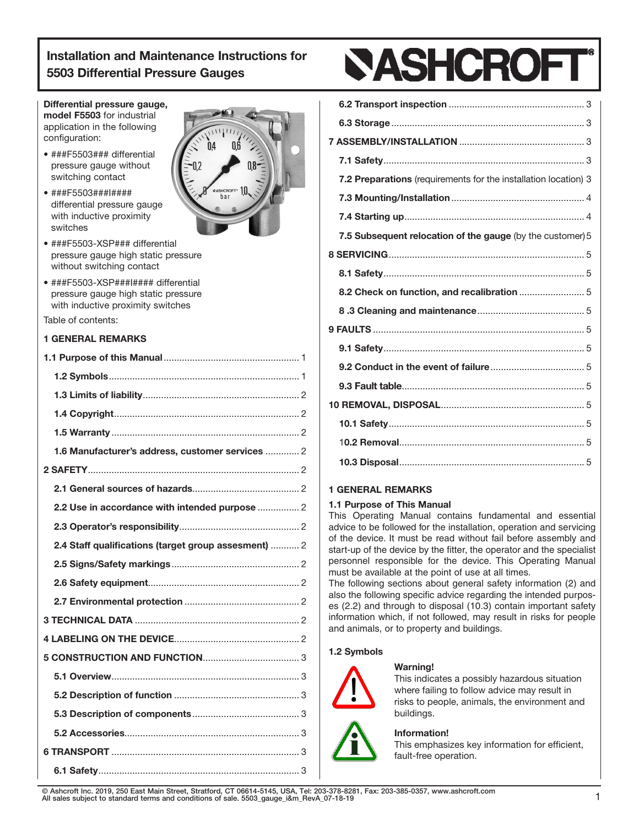# Differential pressure gauge,

model F5503 for industrial application in the following configuration:

- ###F5503### differential pressure gauge without switching contact
- ###F5503###I#### differential pressure gauge with inductive proximity switches



- ###F5503-XSP### differential pressure gauge high static pressure without switching contact
- ###F5503-XSP###I#### differential pressure gauge high static pressure with inductive proximity switches

Table of contents:

# 1 GENERAL REMARKS

| 1.6 Manufacturer's address, customer services  2     |  |
|------------------------------------------------------|--|
|                                                      |  |
|                                                      |  |
| 2.2 Use in accordance with intended purpose  2       |  |
|                                                      |  |
| 2.4 Staff qualifications (target group assesment)  2 |  |
|                                                      |  |
|                                                      |  |
|                                                      |  |
|                                                      |  |
|                                                      |  |
|                                                      |  |
|                                                      |  |
|                                                      |  |
|                                                      |  |
|                                                      |  |
|                                                      |  |
|                                                      |  |



| 7.2 Preparations (requirements for the installation location) 3 |
|-----------------------------------------------------------------|
|                                                                 |
|                                                                 |
| 7.5 Subsequent relocation of the gauge (by the customer) 5      |
|                                                                 |
|                                                                 |
|                                                                 |
|                                                                 |
|                                                                 |
|                                                                 |
|                                                                 |
|                                                                 |
|                                                                 |
|                                                                 |
|                                                                 |
|                                                                 |
|                                                                 |

# 1 GENERAL REMARKS

# 1.1 Purpose of This Manual

This Operating Manual contains fundamental and essential advice to be followed for the installation, operation and servicing of the device. It must be read without fail before assembly and start-up of the device by the fitter, the operator and the specialist personnel responsible for the device. This Operating Manual must be available at the point of use at all times.

The following sections about general safety information (2) and also the following specific advice regarding the intended purposes (2.2) and through to disposal (10.3) contain important safety information which, if not followed, may result in risks for people and animals, or to property and buildings.

# 1.2 Symbols

# Warning!



This indicates a possibly hazardous situation where failing to follow advice may result in risks to people, animals, the environment and

#### Information!

This emphasizes key information for efficient, fault-free operation.

© Ashcroft Inc. 2019, 250 East Main Street, Stratford, CT 06614-5145, USA, Tel: 203-378-8281, Fax: 203-385-0357, www.ashcroft.com All sales subject to standard terms and conditions of sale. 5503\_gauge\_i&m\_RevA\_07-18-19 1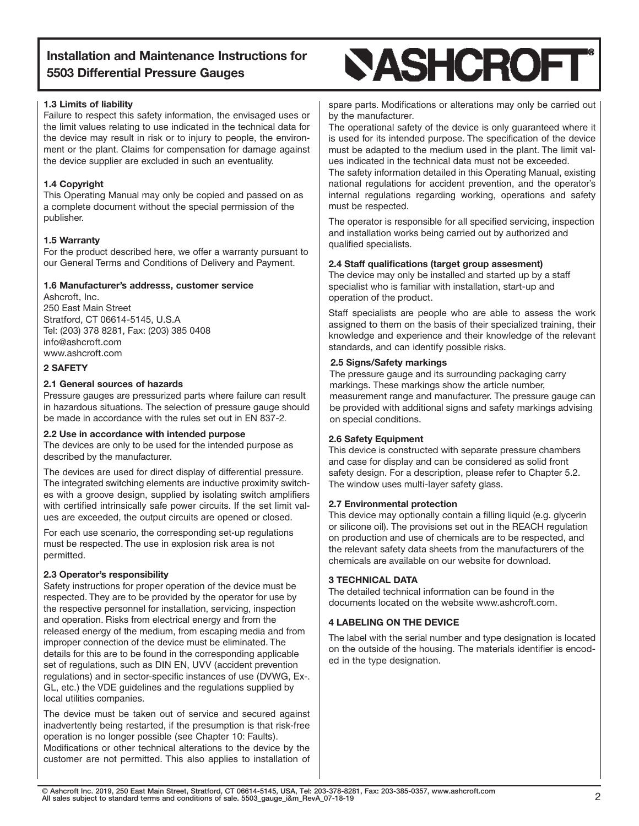# 1.3 Limits of liability

Failure to respect this safety information, the envisaged uses or the limit values relating to use indicated in the technical data for the device may result in risk or to injury to people, the environment or the plant. Claims for compensation for damage against the device supplier are excluded in such an eventuality.

# 1.4 Copyright

This Operating Manual may only be copied and passed on as a complete document without the special permission of the publisher.

# 1.5 Warranty

For the product described here, we offer a warranty pursuant to our General Terms and Conditions of Delivery and Payment.

# 1.6 Manufacturer's addresss, customer service

Ashcroft, Inc. 250 East Main Street Stratford, CT 06614-5145, U.S.A Tel: (203) 378 8281, Fax: (203) 385 0408 info@ashcroft.com www.ashcroft.com

# 2 SAFETY

# 2.1 General sources of hazards

Pressure gauges are pressurized parts where failure can result in hazardous situations. The selection of pressure gauge should be made in accordance with the rules set out in EN 837-2.

# 2.2 Use in accordance with intended purpose

The devices are only to be used for the intended purpose as described by the manufacturer.

The devices are used for direct display of differential pressure. The integrated switching elements are inductive proximity switches with a groove design, supplied by isolating switch amplifiers with certified intrinsically safe power circuits. If the set limit values are exceeded, the output circuits are opened or closed.

For each use scenario, the corresponding set-up regulations must be respected. The use in explosion risk area is not permitted.

# 2.3 Operator's responsibility

Safety instructions for proper operation of the device must be respected. They are to be provided by the operator for use by the respective personnel for installation, servicing, inspection and operation. Risks from electrical energy and from the released energy of the medium, from escaping media and from improper connection of the device must be eliminated. The details for this are to be found in the corresponding applicable set of regulations, such as DIN EN, UVV (accident prevention regulations) and in sector-specific instances of use (DVWG, Ex-. GL, etc.) the VDE guidelines and the regulations supplied by local utilities companies.

The device must be taken out of service and secured against inadvertently being restarted, if the presumption is that risk-free operation is no longer possible (see Chapter 10: Faults). Modifications or other technical alterations to the device by the customer are not permitted. This also applies to installation of

# **SASHCROFT**

spare parts. Modifications or alterations may only be carried out by the manufacturer.

The operational safety of the device is only guaranteed where it is used for its intended purpose. The specification of the device must be adapted to the medium used in the plant. The limit values indicated in the technical data must not be exceeded.

The safety information detailed in this Operating Manual, existing national regulations for accident prevention, and the operator's internal regulations regarding working, operations and safety must be respected.

The operator is responsible for all specified servicing, inspection and installation works being carried out by authorized and qualified specialists.

# 2.4 Staff qualifications (target group assesment)

The device may only be installed and started up by a staff specialist who is familiar with installation, start-up and operation of the product.

Staff specialists are people who are able to assess the work assigned to them on the basis of their specialized training, their knowledge and experience and their knowledge of the relevant standards, and can identify possible risks.

# 2.5 Signs/Safety markings

The pressure gauge and its surrounding packaging carry markings. These markings show the article number, measurement range and manufacturer. The pressure gauge can be provided with additional signs and safety markings advising on special conditions.

# 2.6 Safety Equipment

This device is constructed with separate pressure chambers and case for display and can be considered as solid front safety design. For a description, please refer to Chapter 5.2. The window uses multi-layer safety glass.

# 2.7 Environmental protection

This device may optionally contain a filling liquid (e.g. glycerin or silicone oil). The provisions set out in the REACH regulation on production and use of chemicals are to be respected, and the relevant safety data sheets from the manufacturers of the chemicals are available on our website for download.

#### 3 TECHNICAL DATA

The detailed technical information can be found in the documents located on the website www.ashcroft.com.

# 4 LABELING ON THE DEVICE

The label with the serial number and type designation is located on the outside of the housing. The materials identifier is encoded in the type designation.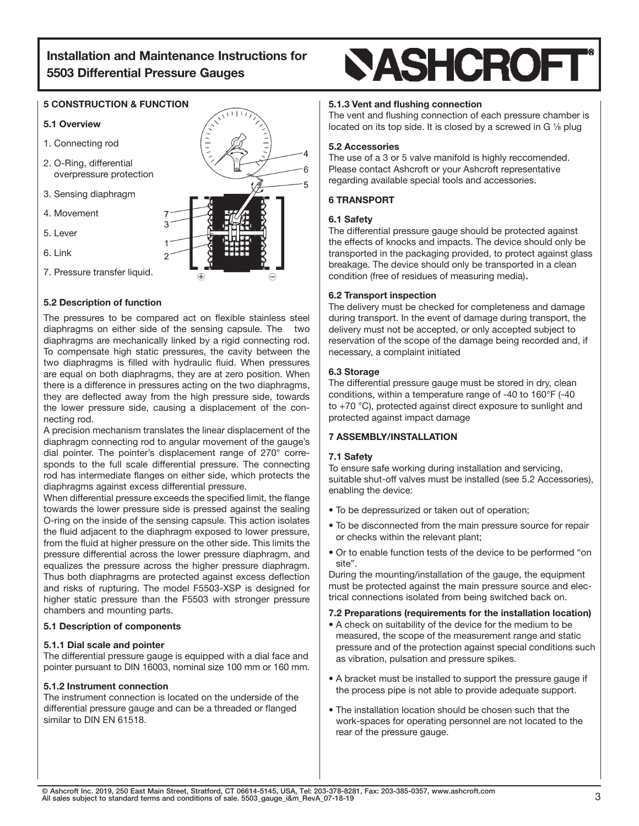# 5 CONSTRUCTION & FUNCTION

#### 5.1 Overview

- 1. Connecting rod
- 2. O-Ring, differential overpressure protection
- 3. Sensing diaphragm
- 4. Movement
- 5. Lever
- 6. Link
- 7. Pressure transfer liquid.

# 5.2 Description of function

The pressures to be compared act on flexible stainless steel diaphragms on either side of the sensing capsule. The two diaphragms are mechanically linked by a rigid connecting rod. To compensate high static pressures, the cavity between the two diaphragms is filled with hydraulic fluid. When pressures are equal on both diaphragms, they are at zero position. When there is a difference in pressures acting on the two diaphragms, they are deflected away from the high pressure side, towards the lower pressure side, causing a displacement of the connecting rod.

A precision mechanism translates the linear displacement of the diaphragm connecting rod to angular movement of the gauge's dial pointer. The pointer's displacement range of 270° corresponds to the full scale differential pressure. The connecting rod has intermediate flanges on either side, which protects the diaphragms against excess differential pressure.

When differential pressure exceeds the specified limit, the flange towards the lower pressure side is pressed against the sealing O-ring on the inside of the sensing capsule. This action isolates the fluid adjacent to the diaphragm exposed to lower pressure, from the fluid at higher pressure on the other side. This limits the pressure differential across the lower pressure diaphragm, and equalizes the pressure across the higher pressure diaphragm. Thus both diaphragms are protected against excess deflection and risks of rupturing. The model F5503-XSP is designed for higher static pressure than the F5503 with stronger pressure chambers and mounting parts.

#### 5.1 Description of components

#### 5.1.1 Dial scale and pointer

The differential pressure gauge is equipped with a dial face and pointer pursuant to DIN 16003, nominal size 100 mm or 160 mm.

#### 5.1.2 Instrument connection

The instrument connection is located on the underside of the differential pressure gauge and can be a threaded or flanged similar to DIN EN 61518.

# **SASHCROFT**

#### 5.1.3 Vent and flushing connection

The vent and flushing connection of each pressure chamber is located on its top side. It is closed by a screwed in G  $\frac{1}{8}$  plug

#### 5.2 Accessories

The use of a 3 or 5 valve manifold is highly reccomended. Please contact Ashcroft or your Ashcroft representative regarding available special tools and accessories.

#### 6 TRANSPORT

#### 6.1 Safety

The differential pressure gauge should be protected against the effects of knocks and impacts. The device should only be transported in the packaging provided, to protect against glass breakage. The device should only be transported in a clean condition (free of residues of measuring media).

#### 6.2 Transport inspection

The delivery must be checked for completeness and damage during transport. In the event of damage during transport, the delivery must not be accepted, or only accepted subject to reservation of the scope of the damage being recorded and, if necessary, a complaint initiated

#### 6.3 Storage

The differential pressure gauge must be stored in dry, clean conditions, within a temperature range of -40 to 160°F (-40 to +70 °C), protected against direct exposure to sunlight and protected against impact damage

#### 7 ASSEMBLY/INSTALLATION

#### 7.1 Safety

To ensure safe working during installation and servicing, suitable shut-off valves must be installed (see 5.2 Accessories), enabling the device:

- To be depressurized or taken out of operation;
- To be disconnected from the main pressure source for repair or checks within the relevant plant;
- Or to enable function tests of the device to be performed "on site".

During the mounting/installation of the gauge, the equipment must be protected against the main pressure source and electrical connections isolated from being switched back on.

#### 7.2 Preparations (requirements for the installation location)

- A check on suitability of the device for the medium to be measured, the scope of the measurement range and static pressure and of the protection against special conditions such as vibration, pulsation and pressure spikes.
- A bracket must be installed to support the pressure gauge if the process pipe is not able to provide adequate support.
- The installation location should be chosen such that the work-spaces for operating personnel are not located to the rear of the pressure gauge.

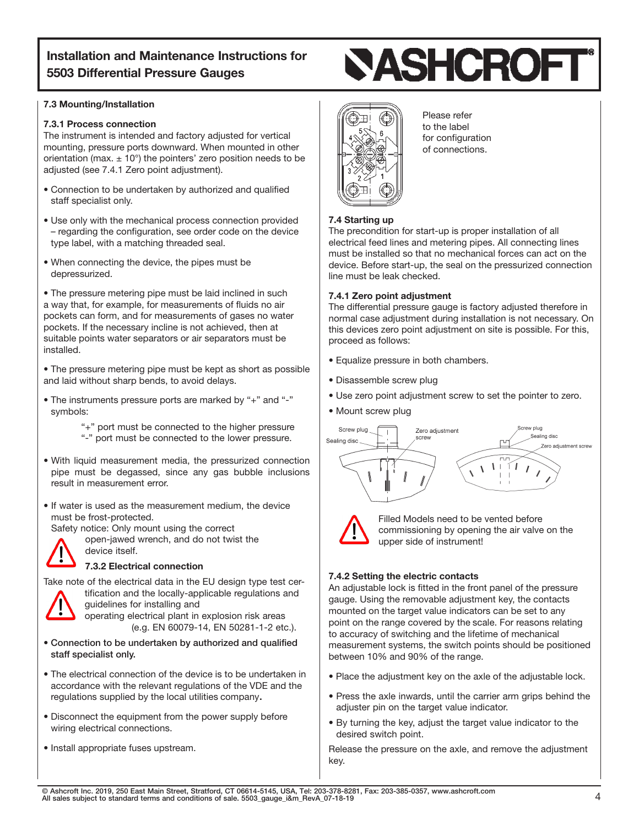#### 7.3 Mounting/Installation

#### 7.3.1 Process connection

The instrument is intended and factory adjusted for vertical mounting, pressure ports downward. When mounted in other orientation (max.  $\pm$  10°) the pointers' zero position needs to be adjusted (see 7.4.1 Zero point adjustment).

- Connection to be undertaken by authorized and qualified staff specialist only.
- Use only with the mechanical process connection provided – regarding the configuration, see order code on the device type label, with a matching threaded seal.
- When connecting the device, the pipes must be depressurized.

• The pressure metering pipe must be laid inclined in such a way that, for example, for measurements of fluids no air pockets can form, and for measurements of gases no water pockets. If the necessary incline is not achieved, then at suitable points water separators or air separators must be installed.

• The pressure metering pipe must be kept as short as possible and laid without sharp bends, to avoid delays.

• The instruments pressure ports are marked by "+" and "-" symbols:

> "+" port must be connected to the higher pressure "-" port must be connected to the lower pressure.

• With liquid measurement media, the pressurized connection pipe must be degassed, since any gas bubble inclusions result in measurement error.

• If water is used as the measurement medium, the device must be frost-protected.

Safety notice: Only mount using the correct



open-jawed wrench, and do not twist the device itself.

# 7.3.2 Electrical connection



Take note of the electrical data in the EU design type test certification and the locally-applicable regulations and guidelines for installing and

operating electrical plant in explosion risk areas (e.g. EN 60079-14, EN 50281-1-2 etc.).

- Connection to be undertaken by authorized and qualified staff specialist only.
- The electrical connection of the device is to be undertaken in accordance with the relevant regulations of the VDE and the regulations supplied by the local utilities company.
- Disconnect the equipment from the power supply before wiring electrical connections.
- Install appropriate fuses upstream.





 Please refer to the label for configuration of connections.

# 7.4 Starting up

The precondition for start-up is proper installation of all electrical feed lines and metering pipes. All connecting lines must be installed so that no mechanical forces can act on the device. Before start-up, the seal on the pressurized connection line must be leak checked.

# 7.4.1 Zero point adjustment

The differential pressure gauge is factory adjusted therefore in normal case adjustment during installation is not necessary. On this devices zero point adjustment on site is possible. For this, proceed as follows:

- Equalize pressure in both chambers.
- Disassemble screw plug
- Use zero point adjustment screw to set the pointer to zero.
- Mount screw plug





Filled Models need to be vented before commissioning by opening the air valve on the upper side of instrument!

# 7.4.2 Setting the electric contacts

An adjustable lock is fitted in the front panel of the pressure gauge. Using the removable adjustment key, the contacts mounted on the target value indicators can be set to any point on the range covered by the scale. For reasons relating to accuracy of switching and the lifetime of mechanical measurement systems, the switch points should be positioned between 10% and 90% of the range.

- Place the adjustment key on the axle of the adjustable lock.
- Press the axle inwards, until the carrier arm grips behind the adjuster pin on the target value indicator.
- By turning the key, adjust the target value indicator to the desired switch point.

Release the pressure on the axle, and remove the adjustment key.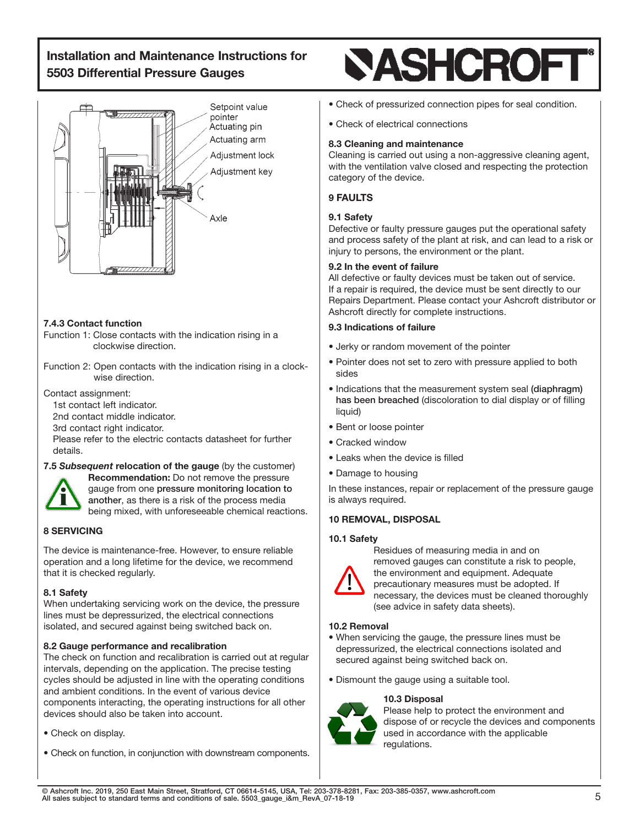

# 7.4.3 Contact function

- Function 1: Close contacts with the indication rising in a clockwise direction.
- Function 2: Open contacts with the indication rising in a clockwise direction.

Contact assignment:

1st contact left indicator.

2nd contact middle indicator.

3rd contact right indicator.

 Please refer to the electric contacts datasheet for further details.

# 7.5 *Subsequent* relocation of the gauge (by the customer)



Recommendation: Do not remove the pressure gauge from one pressure monitoring location to another, as there is a risk of the process media being mixed, with unforeseeable chemical reactions.

# 8 SERVICING

The device is maintenance-free. However, to ensure reliable operation and a long lifetime for the device, we recommend that it is checked regularly.

# 8.1 Safety

When undertaking servicing work on the device, the pressure lines must be depressurized, the electrical connections isolated, and secured against being switched back on.

# 8.2 Gauge performance and recalibration

The check on function and recalibration is carried out at regular intervals, depending on the application. The precise testing cycles should be adjusted in line with the operating conditions and ambient conditions. In the event of various device components interacting, the operating instructions for all other devices should also be taken into account.

- Check on display.
- Check on function, in conjunction with downstream components.

# **SASHCROFT**

- Check of pressurized connection pipes for seal condition.
- Check of electrical connections

# 8.3 Cleaning and maintenance

Cleaning is carried out using a non-aggressive cleaning agent, with the ventilation valve closed and respecting the protection category of the device.

# 9 FAULTS

# 9.1 Safety

Defective or faulty pressure gauges put the operational safety and process safety of the plant at risk, and can lead to a risk or injury to persons, the environment or the plant.

# 9.2 In the event of failure

All defective or faulty devices must be taken out of service. If a repair is required, the device must be sent directly to our Repairs Department. Please contact your Ashcroft distributor or Ashcroft directly for complete instructions.

# 9.3 Indications of failure

- Jerky or random movement of the pointer
- Pointer does not set to zero with pressure applied to both sides
- Indications that the measurement system seal (diaphragm) has been breached (discoloration to dial display or of filling liquid)
- Bent or loose pointer
- Cracked window
- Leaks when the device is filled
- Damage to housing

In these instances, repair or replacement of the pressure gauge is always required.

# 10 REMOVAL, DISPOSAL

# 10.1 Safety



Residues of measuring media in and on removed gauges can constitute a risk to people, the environment and equipment. Adequate precautionary measures must be adopted. If necessary, the devices must be cleaned thoroughly (see advice in safety data sheets).

# 10.2 Removal

- When servicing the gauge, the pressure lines must be depressurized, the electrical connections isolated and secured against being switched back on.
- Dismount the gauge using a suitable tool.

# 10.3 Disposal



Please help to protect the environment and dispose of or recycle the devices and components used in accordance with the applicable regulations.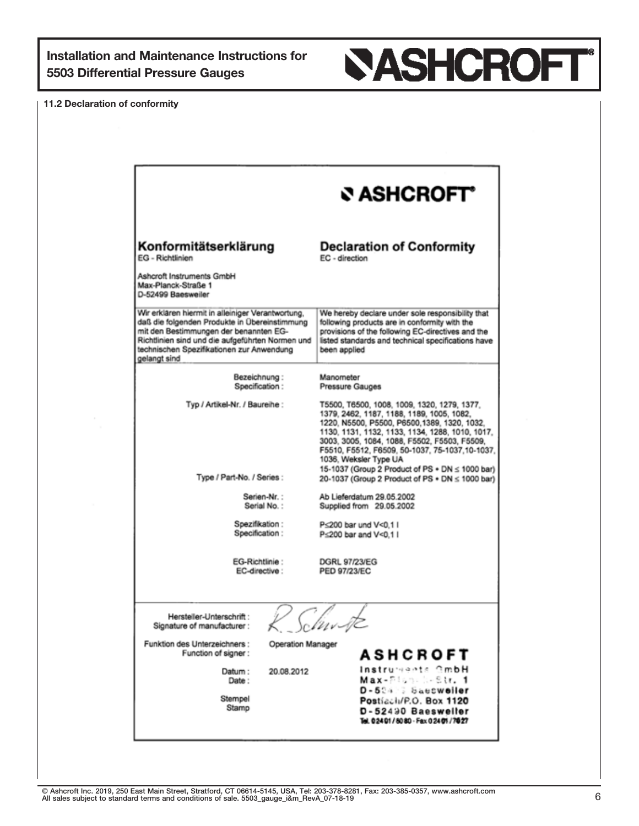

11.2 Declaration of conformity

|                                                                                                                                                                                                                                                               | ও ASHCROFT°                                                                                                                                                                                                                                                                                                                                                                |
|---------------------------------------------------------------------------------------------------------------------------------------------------------------------------------------------------------------------------------------------------------------|----------------------------------------------------------------------------------------------------------------------------------------------------------------------------------------------------------------------------------------------------------------------------------------------------------------------------------------------------------------------------|
| Konformitätserklärung<br>EG - Richtlinien                                                                                                                                                                                                                     | <b>Declaration of Conformity</b><br>EC - direction                                                                                                                                                                                                                                                                                                                         |
| Ashcroft Instruments GmbH<br>Max-Planck-Straße 1<br>D-52499 Baesweiler                                                                                                                                                                                        |                                                                                                                                                                                                                                                                                                                                                                            |
| Wir erklären hiermit in alleiniger Verantwortung,<br>daß die folgenden Produkte in Übereinstimmung<br>mit den Bestimmungen der benannten EG-<br>Richtlinien sind und die aufgeführten Normen und<br>technischen Spezifikationen zur Anwendung<br>gelangt sind | We hereby declare under sole responsibility that<br>following products are in conformity with the<br>provisions of the following EC-directives and the<br>listed standards and technical specifications have<br>been applied                                                                                                                                               |
| Bezeichnung:<br>Specification:                                                                                                                                                                                                                                | Manometer<br>Pressure Gauges                                                                                                                                                                                                                                                                                                                                               |
| Typ / Artikel-Nr. / Baureihe :                                                                                                                                                                                                                                | T5500, T6500, 1008, 1009, 1320, 1279, 1377,<br>1379, 2462, 1187, 1188, 1189, 1005, 1082,<br>1220, N5500, P5500, P6500, 1389, 1320, 1032.<br>1130, 1131, 1132, 1133, 1134, 1288, 1010, 1017,<br>3003, 3005, 1084, 1088, F5502, F5503, F5509,<br>F5510, F5512, F6509, 50-1037, 75-1037, 10-1037,<br>1036, Weksler Type UA<br>15-1037 (Group 2 Product of PS + DN ≤ 1000 bar) |
| Type / Part-No. / Series:                                                                                                                                                                                                                                     | 20-1037 (Group 2 Product of PS + DN ≤ 1000 bar)                                                                                                                                                                                                                                                                                                                            |
| Serien-Nr.:<br>Serial No.:                                                                                                                                                                                                                                    | Ab Lieferdatum 29.05.2002<br>Supplied from 29.05.2002                                                                                                                                                                                                                                                                                                                      |
| Spezifikation :<br>Specification:                                                                                                                                                                                                                             | P<200 bar und V<0.11<br>P<200 bar and V<0.1 I                                                                                                                                                                                                                                                                                                                              |
| EG-Richtlinie:<br>EC-directive:                                                                                                                                                                                                                               | <b>DGRL 97/23/EG</b><br>PED 97/23/EC                                                                                                                                                                                                                                                                                                                                       |
| Hersteller-Unterschrift:<br>Signature of manufacturer:                                                                                                                                                                                                        | $\imath\bar{\nu}$                                                                                                                                                                                                                                                                                                                                                          |
| Funktion des Unterzeichners :<br>Operation Manager<br>Function of signer:                                                                                                                                                                                     | ASHCROFT                                                                                                                                                                                                                                                                                                                                                                   |
| Datum:<br>20.08.2012<br>Date:<br>Stempel<br>Stamp                                                                                                                                                                                                             | Instruments GmbH<br>Max-Planch-Str. 1<br>D-524 Saesweller<br>Postiach/P.O. Box 1120<br>D-52490 Baesweller<br>Tel. 02401/8080 - Fax 02401/7827                                                                                                                                                                                                                              |